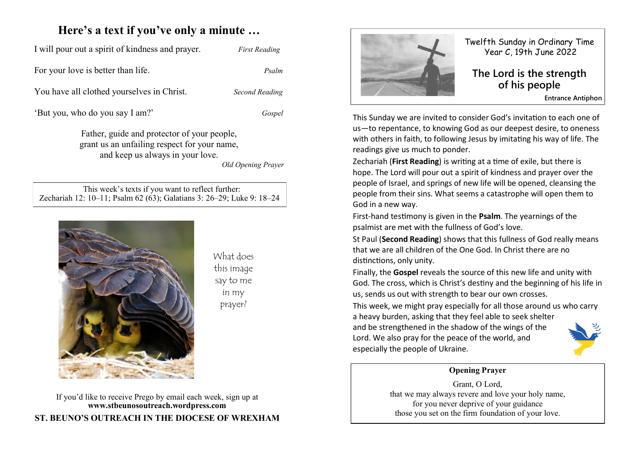# **Here's a text if you've only a minute …**

| I will pour out a spirit of kindness and prayer. | <b>First Reading</b> |
|--------------------------------------------------|----------------------|
| For your love is better than life.               | Psalm                |
| You have all clothed yourselves in Christ.       | Second Reading       |

'But you, who do you say I am?' *Gospel*

Father, guide and protector of your people, grant us an unfailing respect for your name, and keep us always in your love.

*Old Opening Prayer*

 This week's texts if you want to reflect further: Zechariah 12: 10–11; Psalm 62 (63); Galatians 3: 26–29; Luke 9: 18–24



What does this image say to me in my prayer?

If you'd like to receive Prego by email each week, sign up at **www.stbeunosoutreach.wordpress.com ST. BEUNO'S OUTREACH IN THE DIOCESE OF WREXHAM**



especially the people of Ukraine.

Twelfth Sunday in Ordinary Time Year C, 19th June 2022

## **The Lord is the strength of his people**

**Entrance Antiphon**

This Sunday we are invited to consider God's invitation to each one of us—to repentance, to knowing God as our deepest desire, to oneness with others in faith, to following Jesus by imitating his way of life. The readings give us much to ponder.

Zechariah (**First Reading**) is writing at a time of exile, but there is hope. The Lord will pour out a spirit of kindness and prayer over the people of Israel, and springs of new life will be opened, cleansing the people from their sins. What seems a catastrophe will open them to God in a new way.

First-hand testimony is given in the **Psalm**. The yearnings of the psalmist are met with the fullness of God's love.

St Paul (**Second Reading**) shows that this fullness of God really means that we are all children of the One God. In Christ there are no distinctions, only unity.

Finally, the **Gospel** reveals the source of this new life and unity with God. The cross, which is Christ's destiny and the beginning of his life in us, sends us out with strength to bear our own crosses.

This week, we might pray especially for all those around us who carry a heavy burden, asking that they feel able to seek shelter and be strengthened in the shadow of the wings of the Lord. We also pray for the peace of the world, and

#### **Opening Prayer**

Grant, O Lord, that we may always revere and love your holy name, for you never deprive of your guidance those you set on the firm foundation of your love.